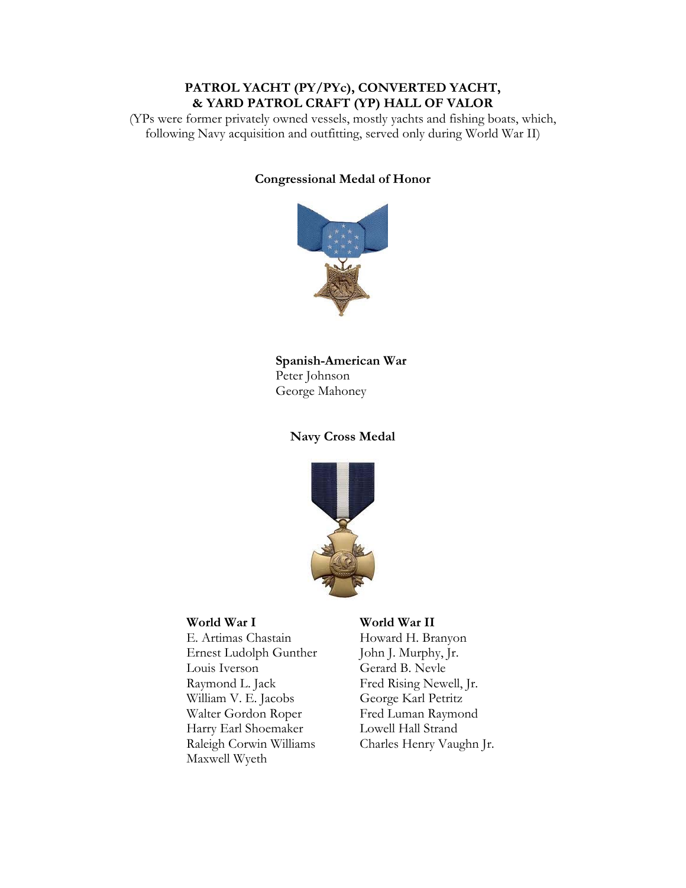# **PATROL YACHT (PY/PYc), CONVERTED YACHT, & YARD PATROL CRAFT (YP) HALL OF VALOR**

(YPs were former privately owned vessels, mostly yachts and fishing boats, which, following Navy acquisition and outfitting, served only during World War II)

# **Congressional Medal of Honor**



# **Spanish-American War**  Peter Johnson George Mahoney

# **Navy Cross Medal**



E. Artimas Chastain Howard H. Branyon Ernest Ludolph Gunther John J. Murphy, Jr. Louis Iverson Gerard B. Nevle Raymond L. Jack William V. E. Jacobs Walter Gordon Roper Fred Luman Raymond Harry Earl Shoemaker Lowell Hall Strand Raleigh Corwin Williams Maxwell Wyeth

# **World War I World War II**

Fred Rising Newell, Jr. George Karl Petritz Charles Henry Vaughn Jr.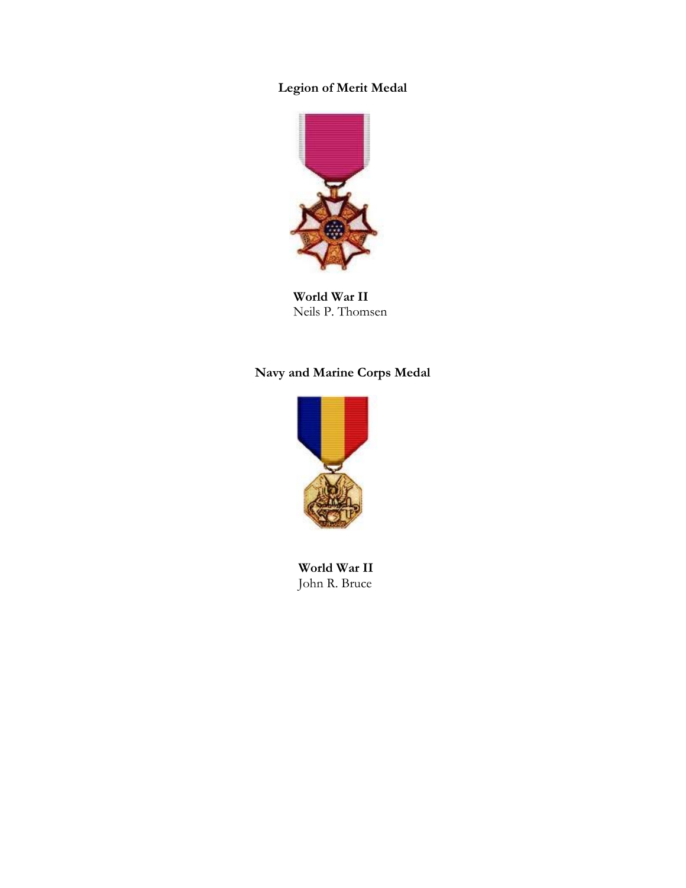# **Legion of Merit Medal**



**World War II**  Neils P. Thomsen

# **Navy and Marine Corps Medal**



**World War II**  John R. Bruce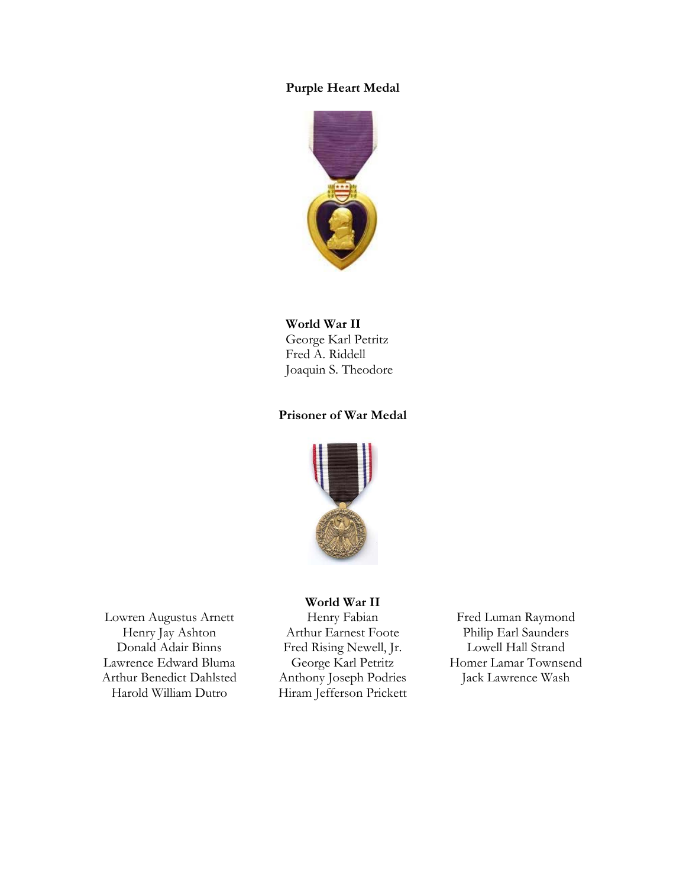## **Purple Heart Medal**



# **World War II**

George Karl Petritz Fred A. Riddell Joaquin S. Theodore

# **Prisoner of War Medal**



Lowren Augustus Arnett Henry Fabian Fred Luman Raymond<br>Henry Jay Ashton Arthur Earnest Foote Philip Earl Saunders Lawrence Edward Bluma George Karl Petritz Homer Lamar Townsend Arthur Benedict Dahlsted Anthony Joseph Podries Jack Lawrence Wash<br>Harold William Dutro Hiram Iefferson Prickett

#### **World War II**

Donald Adair Binns Fred Rising Newell, Jr. Lowell Hall Strand Hiram Jefferson Prickett

Arthur Earnest Foote Philip Earl Saunders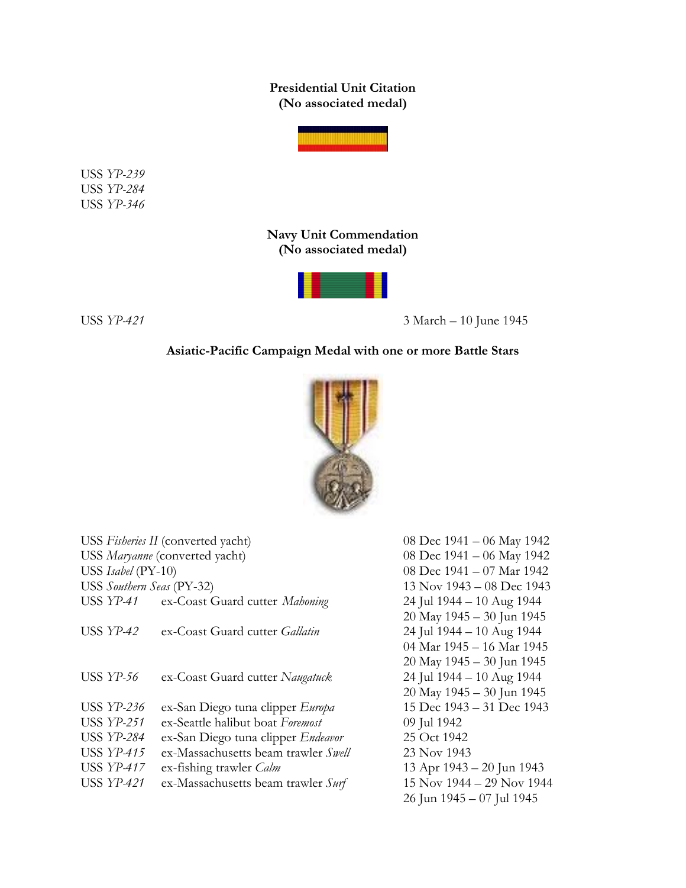**Presidential Unit Citation (No associated medal)** 



USS *YP-239* USS *YP-284* USS *YP-346* 

> **Navy Unit Commendation (No associated medal)**



USS *YP-421* 3 March – 10 June 1945

# **Asiatic-Pacific Campaign Medal with one or more Battle Stars**



| USS Fisheries II (converted yacht) |                                           | 08 Dec $1941 - 06$ May 1942     |
|------------------------------------|-------------------------------------------|---------------------------------|
| USS Maryanne (converted yacht)     |                                           | 08 Dec 1941 - 06 May 1942       |
| USS Isabel (PY-10)                 |                                           | 08 Dec 1941 - 07 Mar 1942       |
| USS Southern Seas (PY-32)          |                                           | $13$ Nov $1943 - 08$ Dec $1943$ |
|                                    | USS YP-41 ex-Coast Guard cutter Mahoning  | 24 Jul 1944 - 10 Aug 1944       |
|                                    |                                           | 20 May 1945 - 30 Jun 1945       |
| USS $YP-42$                        | ex-Coast Guard cutter <i>Gallatin</i>     | 24 Jul 1944 - 10 Aug 1944       |
|                                    |                                           | 04 Mar 1945 – 16 Mar 1945       |
|                                    |                                           | 20 May 1945 - 30 Jun 1945       |
| <b>USS YP-56</b>                   | ex-Coast Guard cutter Naugatuck           | 24 Jul 1944 - 10 Aug 1944       |
|                                    |                                           | 20 May 1945 - 30 Jun 1945       |
| USS YP-236                         | ex-San Diego tuna clipper Europa          | 15 Dec 1943 – 31 Dec 1943       |
| USS YP-251                         | ex-Seattle halibut boat Foremost          | 09 Jul 1942                     |
| <b>USS YP-284</b>                  | ex-San Diego tuna clipper <i>Endeavor</i> | 25 Oct 1942                     |
| <b>USS YP-415</b>                  | ex-Massachusetts beam trawler Swell       | 23 Nov 1943                     |
| <b>USS YP-417</b>                  | ex-fishing trawler <i>Calm</i>            | 13 Apr 1943 – 20 Jun 1943       |
| USS YP-421                         | ex-Massachusetts beam trawler Surf        | 15 Nov 1944 - 29 Nov 1944       |
|                                    |                                           | 26 Jun 1945 - 07 Jul 1945       |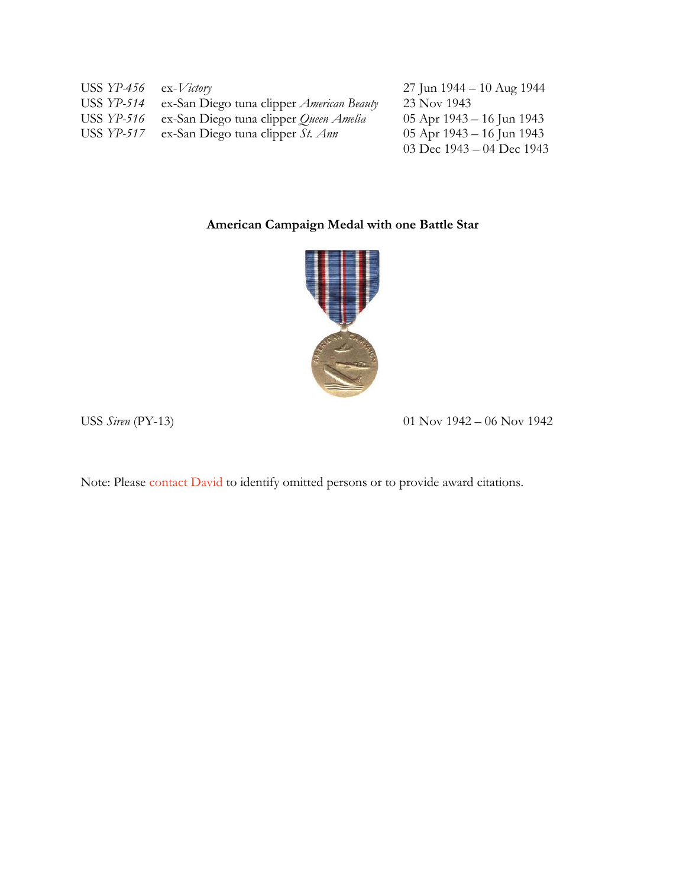| USS $YP-456$ ex-Victory |                                                  | 27 Jun 1944 – 10 Aug 1944     |
|-------------------------|--------------------------------------------------|-------------------------------|
| USS YP-514              | ex-San Diego tuna clipper <i>American Beauty</i> | 23 Nov 1943                   |
| USS YP-516              | ex-San Diego tuna clipper Queen Amelia           | 05 Apr $1943 - 16$ Jun $1943$ |
| USS YP-517              | ex-San Diego tuna clipper St. Ann                | 05 Apr $1943 - 16$ Jun $1943$ |
|                         |                                                  | 03 Dec $1943 - 04$ Dec $1943$ |

# **American Campaign Medal with one Battle Star**



USS *Siren* (PY-13) 01 Nov 1942 – 06 Nov 1942

Note: Pleas[e contact David t](mailto:davidbruhn@davidbruhn.com)o identify omitted persons or to provide award citations.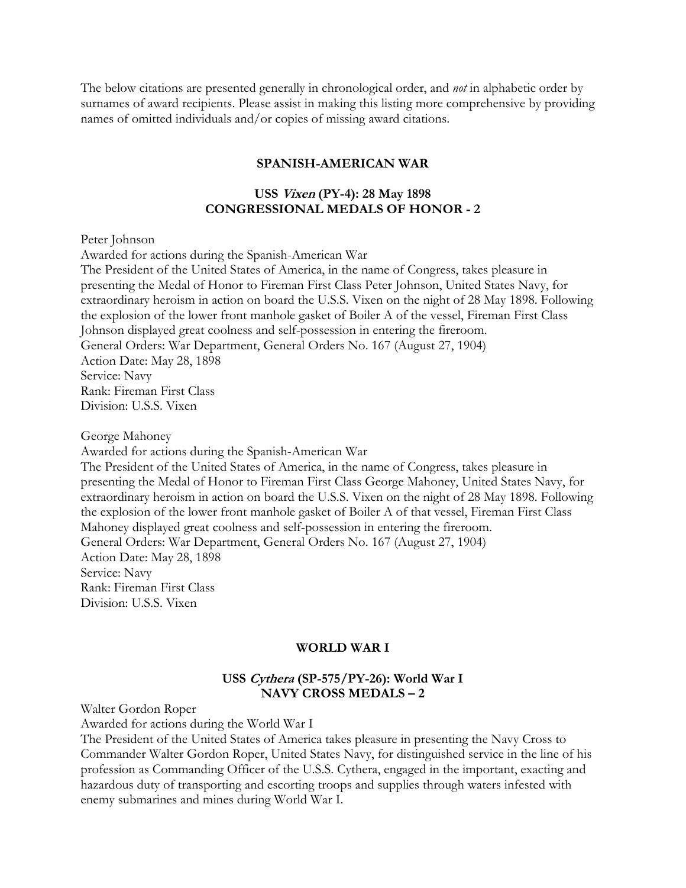The below citations are presented generally in chronological order, and *not* in alphabetic order by surnames of award recipients. Please assist in making this listing more comprehensive by providing names of omitted individuals and/or copies of missing award citations.

### **SPANISH-AMERICAN WAR**

# **USS Vixen (PY-4): 28 May 1898 CONGRESSIONAL MEDALS OF HONOR - 2**

#### Peter Johnson

Awarded for actions during the Spanish-American War The President of the United States of America, in the name of Congress, takes pleasure in presenting the Medal of Honor to Fireman First Class Peter Johnson, United States Navy, for extraordinary heroism in action on board the U.S.S. Vixen on the night of 28 May 1898. Following the explosion of the lower front manhole gasket of Boiler A of the vessel, Fireman First Class Johnson displayed great coolness and self-possession in entering the fireroom. General Orders: War Department, General Orders No. 167 (August 27, 1904) Action Date: May 28, 1898 Service: Navy Rank: Fireman First Class Division: U.S.S. Vixen

George Mahoney

Awarded for actions during the Spanish-American War

The President of the United States of America, in the name of Congress, takes pleasure in presenting the Medal of Honor to Fireman First Class George Mahoney, United States Navy, for extraordinary heroism in action on board the U.S.S. Vixen on the night of 28 May 1898. Following the explosion of the lower front manhole gasket of Boiler A of that vessel, Fireman First Class Mahoney displayed great coolness and self-possession in entering the fireroom. General Orders: War Department, General Orders No. 167 (August 27, 1904) Action Date: May 28, 1898 Service: Navy Rank: Fireman First Class Division: U.S.S. Vixen

### **WORLD WAR I**

# **USS Cythera (SP-575/PY-26): World War I NAVY CROSS MEDALS – 2**

Walter Gordon Roper

Awarded for actions during the World War I

The President of the United States of America takes pleasure in presenting the Navy Cross to Commander Walter Gordon Roper, United States Navy, for distinguished service in the line of his profession as Commanding Officer of the U.S.S. Cythera, engaged in the important, exacting and hazardous duty of transporting and escorting troops and supplies through waters infested with enemy submarines and mines during World War I.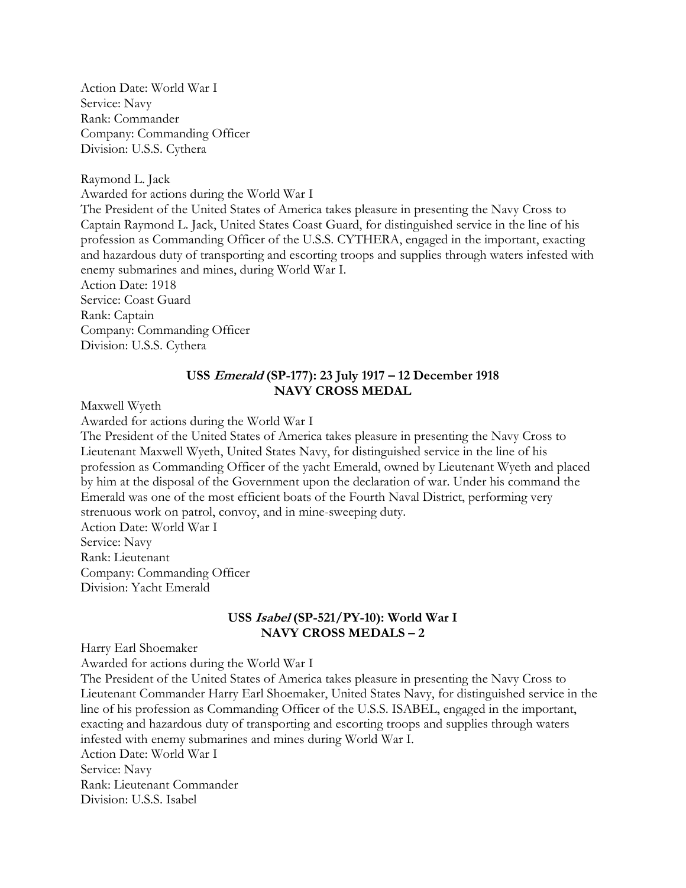Action Date: World War I Service: Navy Rank: Commander Company: Commanding Officer Division: U.S.S. Cythera

Raymond L. Jack Awarded for actions during the World War I The President of the United States of America takes pleasure in presenting the Navy Cross to Captain Raymond L. Jack, United States Coast Guard, for distinguished service in the line of his profession as Commanding Officer of the U.S.S. CYTHERA, engaged in the important, exacting and hazardous duty of transporting and escorting troops and supplies through waters infested with enemy submarines and mines, during World War I. Action Date: 1918 Service: Coast Guard

Rank: Captain Company: Commanding Officer Division: U.S.S. Cythera

# **USS Emerald (SP-177): 23 July 1917 – 12 December 1918 NAVY CROSS MEDAL**

Maxwell Wyeth

Awarded for actions during the World War I

The President of the United States of America takes pleasure in presenting the Navy Cross to Lieutenant Maxwell Wyeth, United States Navy, for distinguished service in the line of his profession as Commanding Officer of the yacht Emerald, owned by Lieutenant Wyeth and placed by him at the disposal of the Government upon the declaration of war. Under his command the Emerald was one of the most efficient boats of the Fourth Naval District, performing very strenuous work on patrol, convoy, and in mine-sweeping duty.

Action Date: World War I Service: Navy Rank: Lieutenant Company: Commanding Officer Division: Yacht Emerald

# **USS Isabel (SP-521/PY-10): World War I NAVY CROSS MEDALS – 2**

Harry Earl Shoemaker

Awarded for actions during the World War I

The President of the United States of America takes pleasure in presenting the Navy Cross to Lieutenant Commander Harry Earl Shoemaker, United States Navy, for distinguished service in the line of his profession as Commanding Officer of the U.S.S. ISABEL, engaged in the important, exacting and hazardous duty of transporting and escorting troops and supplies through waters infested with enemy submarines and mines during World War I. Action Date: World War I Service: Navy Rank: Lieutenant Commander Division: U.S.S. Isabel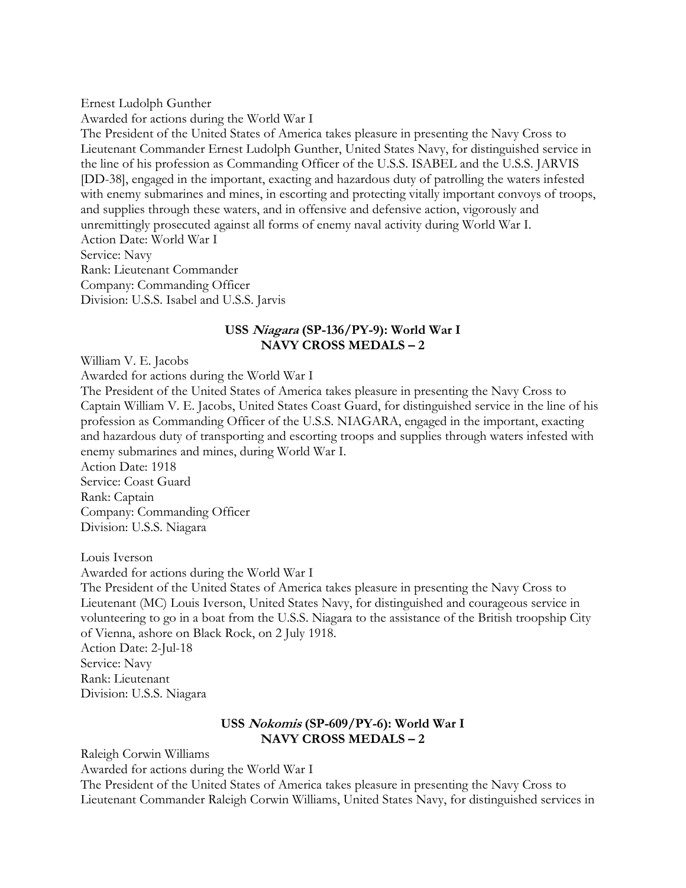Ernest Ludolph Gunther

Awarded for actions during the World War I The President of the United States of America takes pleasure in presenting the Navy Cross to Lieutenant Commander Ernest Ludolph Gunther, United States Navy, for distinguished service in the line of his profession as Commanding Officer of the U.S.S. ISABEL and the U.S.S. JARVIS [DD-38], engaged in the important, exacting and hazardous duty of patrolling the waters infested with enemy submarines and mines, in escorting and protecting vitally important convoys of troops, and supplies through these waters, and in offensive and defensive action, vigorously and unremittingly prosecuted against all forms of enemy naval activity during World War I. Action Date: World War I Service: Navy Rank: Lieutenant Commander Company: Commanding Officer Division: U.S.S. Isabel and U.S.S. Jarvis

# **USS Niagara (SP-136/PY-9): World War I NAVY CROSS MEDALS – 2**

William V. E. Jacobs

Awarded for actions during the World War I

The President of the United States of America takes pleasure in presenting the Navy Cross to Captain William V. E. Jacobs, United States Coast Guard, for distinguished service in the line of his profession as Commanding Officer of the U.S.S. NIAGARA, engaged in the important, exacting and hazardous duty of transporting and escorting troops and supplies through waters infested with enemy submarines and mines, during World War I.

Action Date: 1918 Service: Coast Guard Rank: Captain Company: Commanding Officer Division: U.S.S. Niagara

Louis Iverson

Awarded for actions during the World War I

The President of the United States of America takes pleasure in presenting the Navy Cross to Lieutenant (MC) Louis Iverson, United States Navy, for distinguished and courageous service in volunteering to go in a boat from the U.S.S. Niagara to the assistance of the British troopship City of Vienna, ashore on Black Rock, on 2 July 1918.

Action Date: 2-Jul-18 Service: Navy Rank: Lieutenant Division: U.S.S. Niagara

# **USS Nokomis (SP-609/PY-6): World War I NAVY CROSS MEDALS – 2**

Raleigh Corwin Williams

Awarded for actions during the World War I

The President of the United States of America takes pleasure in presenting the Navy Cross to Lieutenant Commander Raleigh Corwin Williams, United States Navy, for distinguished services in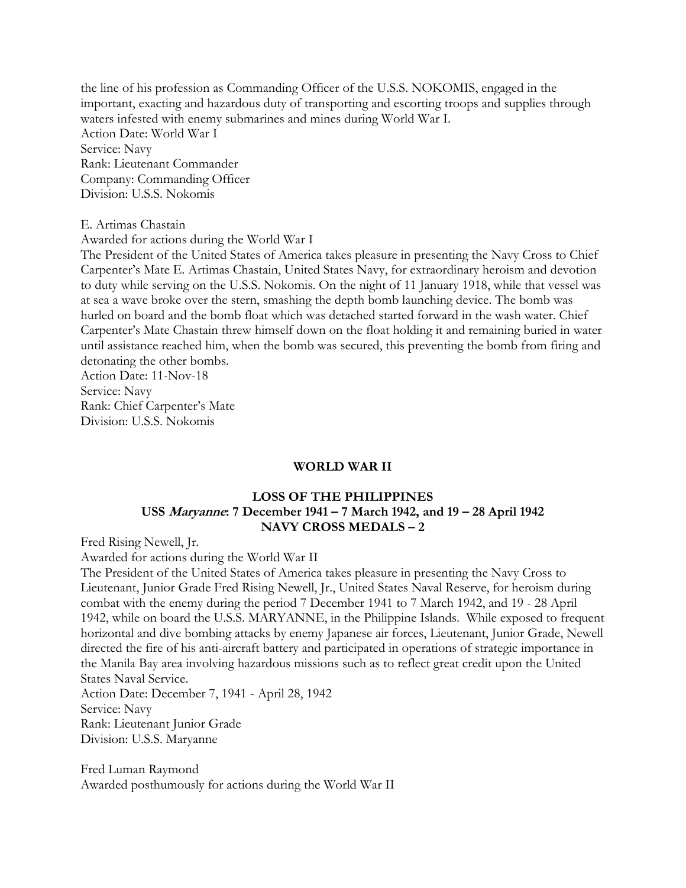the line of his profession as Commanding Officer of the U.S.S. NOKOMIS, engaged in the important, exacting and hazardous duty of transporting and escorting troops and supplies through waters infested with enemy submarines and mines during World War I. Action Date: World War I Service: Navy Rank: Lieutenant Commander Company: Commanding Officer Division: U.S.S. Nokomis

#### E. Artimas Chastain

Awarded for actions during the World War I

The President of the United States of America takes pleasure in presenting the Navy Cross to Chief Carpenter's Mate E. Artimas Chastain, United States Navy, for extraordinary heroism and devotion to duty while serving on the U.S.S. Nokomis. On the night of 11 January 1918, while that vessel was at sea a wave broke over the stern, smashing the depth bomb launching device. The bomb was hurled on board and the bomb float which was detached started forward in the wash water. Chief Carpenter's Mate Chastain threw himself down on the float holding it and remaining buried in water until assistance reached him, when the bomb was secured, this preventing the bomb from firing and detonating the other bombs.

Action Date: 11-Nov-18 Service: Navy Rank: Chief Carpenter's Mate Division: U.S.S. Nokomis

### **WORLD WAR II**

# **LOSS OF THE PHILIPPINES USS Maryanne: 7 December 1941 – 7 March 1942, and 19 – 28 April 1942 NAVY CROSS MEDALS – 2**

Fred Rising Newell, Jr.

Awarded for actions during the World War II

The President of the United States of America takes pleasure in presenting the Navy Cross to Lieutenant, Junior Grade Fred Rising Newell, Jr., United States Naval Reserve, for heroism during combat with the enemy during the period 7 December 1941 to 7 March 1942, and 19 - 28 April 1942, while on board the U.S.S. MARYANNE, in the Philippine Islands. While exposed to frequent horizontal and dive bombing attacks by enemy Japanese air forces, Lieutenant, Junior Grade, Newell directed the fire of his anti-aircraft battery and participated in operations of strategic importance in the Manila Bay area involving hazardous missions such as to reflect great credit upon the United States Naval Service.

Action Date: December 7, 1941 - April 28, 1942 Service: Navy Rank: Lieutenant Junior Grade Division: U.S.S. Maryanne

Fred Luman Raymond Awarded posthumously for actions during the World War II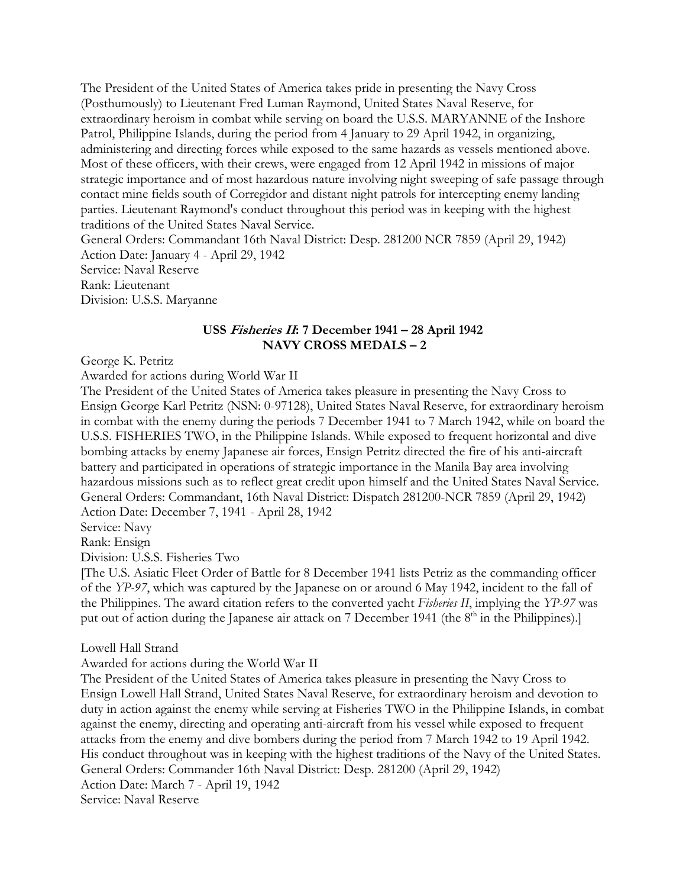The President of the United States of America takes pride in presenting the Navy Cross (Posthumously) to Lieutenant Fred Luman Raymond, United States Naval Reserve, for extraordinary heroism in combat while serving on board the U.S.S. MARYANNE of the Inshore Patrol, Philippine Islands, during the period from 4 January to 29 April 1942, in organizing, administering and directing forces while exposed to the same hazards as vessels mentioned above. Most of these officers, with their crews, were engaged from 12 April 1942 in missions of major strategic importance and of most hazardous nature involving night sweeping of safe passage through contact mine fields south of Corregidor and distant night patrols for intercepting enemy landing parties. Lieutenant Raymond's conduct throughout this period was in keeping with the highest traditions of the United States Naval Service.

General Orders: Commandant 16th Naval District: Desp. 281200 NCR 7859 (April 29, 1942) Action Date: January 4 - April 29, 1942 Service: Naval Reserve Rank: Lieutenant

Division: U.S.S. Maryanne

# **USS Fisheries II: 7 December 1941 – 28 April 1942 NAVY CROSS MEDALS – 2**

George K. Petritz

Awarded for actions during World War II

The President of the United States of America takes pleasure in presenting the Navy Cross to Ensign George Karl Petritz (NSN: 0-97128), United States Naval Reserve, for extraordinary heroism in combat with the enemy during the periods 7 December 1941 to 7 March 1942, while on board the U.S.S. FISHERIES TWO, in the Philippine Islands. While exposed to frequent horizontal and dive bombing attacks by enemy Japanese air forces, Ensign Petritz directed the fire of his anti-aircraft battery and participated in operations of strategic importance in the Manila Bay area involving hazardous missions such as to reflect great credit upon himself and the United States Naval Service. General Orders: Commandant, 16th Naval District: Dispatch 281200-NCR 7859 (April 29, 1942) Action Date: December 7, 1941 - April 28, 1942

Service: Navy

Rank: Ensign

Division: U.S.S. Fisheries Two

[The U.S. Asiatic Fleet Order of Battle for 8 December 1941 lists Petriz as the commanding officer of the *YP-97*, which was captured by the Japanese on or around 6 May 1942, incident to the fall of the Philippines. The award citation refers to the converted yacht *Fisheries II*, implying the *YP-97* was put out of action during the Japanese air attack on 7 December 1941 (the 8<sup>th</sup> in the Philippines).]

Lowell Hall Strand

Awarded for actions during the World War II

The President of the United States of America takes pleasure in presenting the Navy Cross to Ensign Lowell Hall Strand, United States Naval Reserve, for extraordinary heroism and devotion to duty in action against the enemy while serving at Fisheries TWO in the Philippine Islands, in combat against the enemy, directing and operating anti-aircraft from his vessel while exposed to frequent attacks from the enemy and dive bombers during the period from 7 March 1942 to 19 April 1942. His conduct throughout was in keeping with the highest traditions of the Navy of the United States. General Orders: Commander 16th Naval District: Desp. 281200 (April 29, 1942) Action Date: March 7 - April 19, 1942 Service: Naval Reserve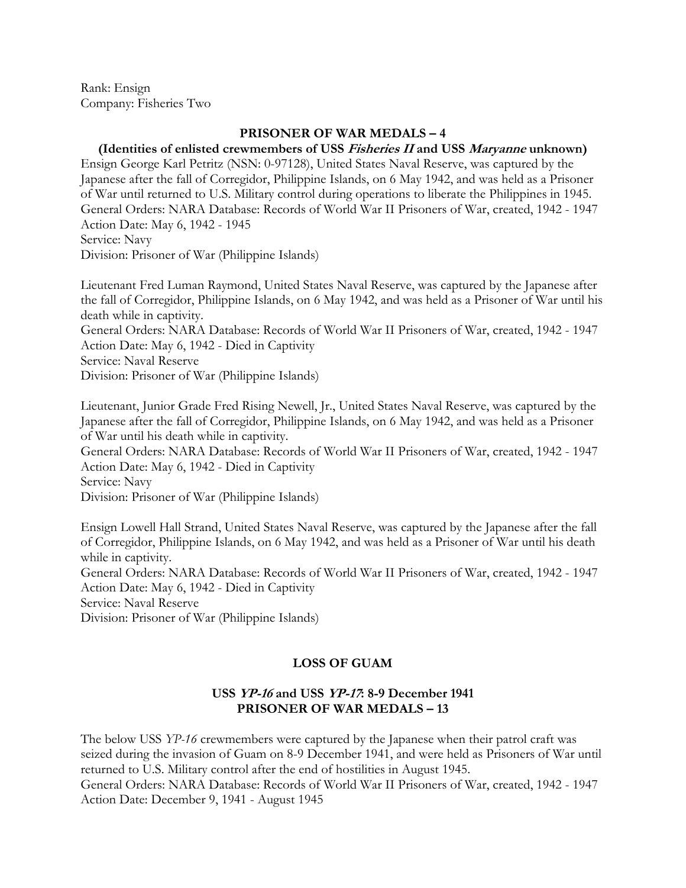Rank: Ensign Company: Fisheries Two

# **PRISONER OF WAR MEDALS – 4**

# **(Identities of enlisted crewmembers of USS Fisheries II and USS Maryanne unknown)**

Ensign George Karl Petritz (NSN: 0-97128), United States Naval Reserve, was captured by the Japanese after the fall of Corregidor, Philippine Islands, on 6 May 1942, and was held as a Prisoner of War until returned to U.S. Military control during operations to liberate the Philippines in 1945. General Orders: NARA Database: Records of World War II Prisoners of War, created, 1942 - 1947 Action Date: May 6, 1942 - 1945 Service: Navy

Division: Prisoner of War (Philippine Islands)

Lieutenant Fred Luman Raymond, United States Naval Reserve, was captured by the Japanese after the fall of Corregidor, Philippine Islands, on 6 May 1942, and was held as a Prisoner of War until his death while in captivity.

General Orders: NARA Database: Records of World War II Prisoners of War, created, 1942 - 1947 Action Date: May 6, 1942 - Died in Captivity

Service: Naval Reserve

Division: Prisoner of War (Philippine Islands)

Lieutenant, Junior Grade Fred Rising Newell, Jr., United States Naval Reserve, was captured by the Japanese after the fall of Corregidor, Philippine Islands, on 6 May 1942, and was held as a Prisoner of War until his death while in captivity.

General Orders: NARA Database: Records of World War II Prisoners of War, created, 1942 - 1947 Action Date: May 6, 1942 - Died in Captivity

Service: Navy

Division: Prisoner of War (Philippine Islands)

Ensign Lowell Hall Strand, United States Naval Reserve, was captured by the Japanese after the fall of Corregidor, Philippine Islands, on 6 May 1942, and was held as a Prisoner of War until his death while in captivity. General Orders: NARA Database: Records of World War II Prisoners of War, created, 1942 - 1947

Action Date: May 6, 1942 - Died in Captivity

Service: Naval Reserve

Division: Prisoner of War (Philippine Islands)

# **LOSS OF GUAM**

# **USS YP-16 and USS YP-17: 8-9 December 1941 PRISONER OF WAR MEDALS – 13**

The below USS *YP-16* crewmembers were captured by the Japanese when their patrol craft was seized during the invasion of Guam on 8-9 December 1941, and were held as Prisoners of War until returned to U.S. Military control after the end of hostilities in August 1945. General Orders: NARA Database: Records of World War II Prisoners of War, created, 1942 - 1947 Action Date: December 9, 1941 - August 1945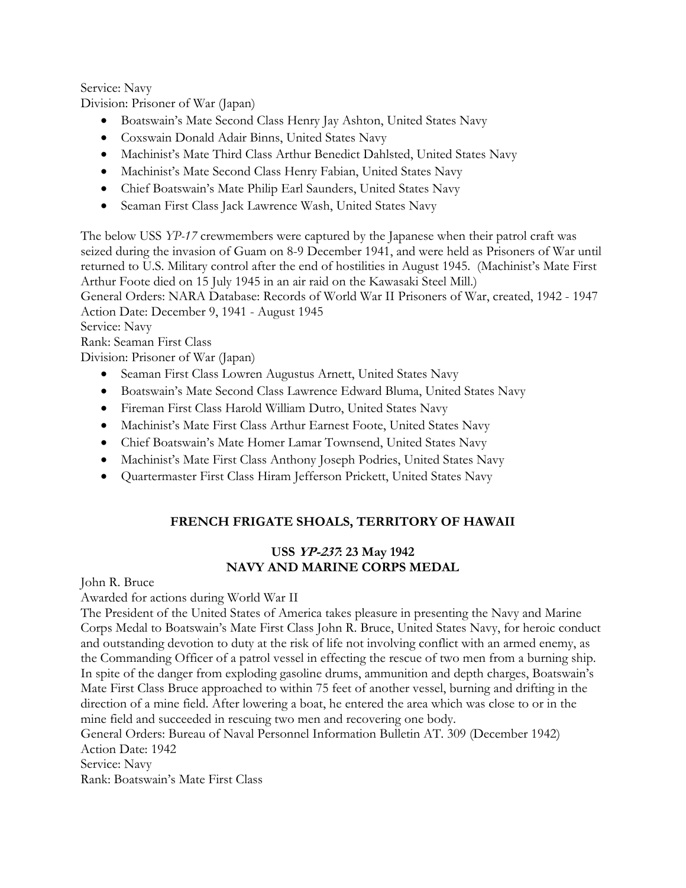Service: Navy

Division: Prisoner of War (Japan)

- Boatswain's Mate Second Class Henry Jay Ashton, United States Navy
- Coxswain Donald Adair Binns, United States Navy
- Machinist's Mate Third Class Arthur Benedict Dahlsted, United States Navy
- Machinist's Mate Second Class Henry Fabian, United States Navy
- Chief Boatswain's Mate Philip Earl Saunders, United States Navy
- Seaman First Class Jack Lawrence Wash, United States Navy

The below USS *YP-17* crewmembers were captured by the Japanese when their patrol craft was seized during the invasion of Guam on 8-9 December 1941, and were held as Prisoners of War until returned to U.S. Military control after the end of hostilities in August 1945. (Machinist's Mate First Arthur Foote died on 15 July 1945 in an air raid on the Kawasaki Steel Mill.) General Orders: NARA Database: Records of World War II Prisoners of War, created, 1942 - 1947

Action Date: December 9, 1941 - August 1945

Service: Navy

Rank: Seaman First Class

Division: Prisoner of War (Japan)

- Seaman First Class Lowren Augustus Arnett, United States Navy
- Boatswain's Mate Second Class Lawrence Edward Bluma, United States Navy
- Fireman First Class Harold William Dutro, United States Navy
- Machinist's Mate First Class Arthur Earnest Foote, United States Navy
- Chief Boatswain's Mate Homer Lamar Townsend, United States Navy
- Machinist's Mate First Class Anthony Joseph Podries, United States Navy
- Quartermaster First Class Hiram Jefferson Prickett, United States Navy

# **FRENCH FRIGATE SHOALS, TERRITORY OF HAWAII**

# **USS YP-237: 23 May 1942 NAVY AND MARINE CORPS MEDAL**

John R. Bruce

Awarded for actions during World War II

The President of the United States of America takes pleasure in presenting the Navy and Marine Corps Medal to Boatswain's Mate First Class John R. Bruce, United States Navy, for heroic conduct and outstanding devotion to duty at the risk of life not involving conflict with an armed enemy, as the Commanding Officer of a patrol vessel in effecting the rescue of two men from a burning ship. In spite of the danger from exploding gasoline drums, ammunition and depth charges, Boatswain's Mate First Class Bruce approached to within 75 feet of another vessel, burning and drifting in the direction of a mine field. After lowering a boat, he entered the area which was close to or in the mine field and succeeded in rescuing two men and recovering one body. General Orders: Bureau of Naval Personnel Information Bulletin AT. 309 (December 1942)

Action Date: 1942

Service: Navy

Rank: Boatswain's Mate First Class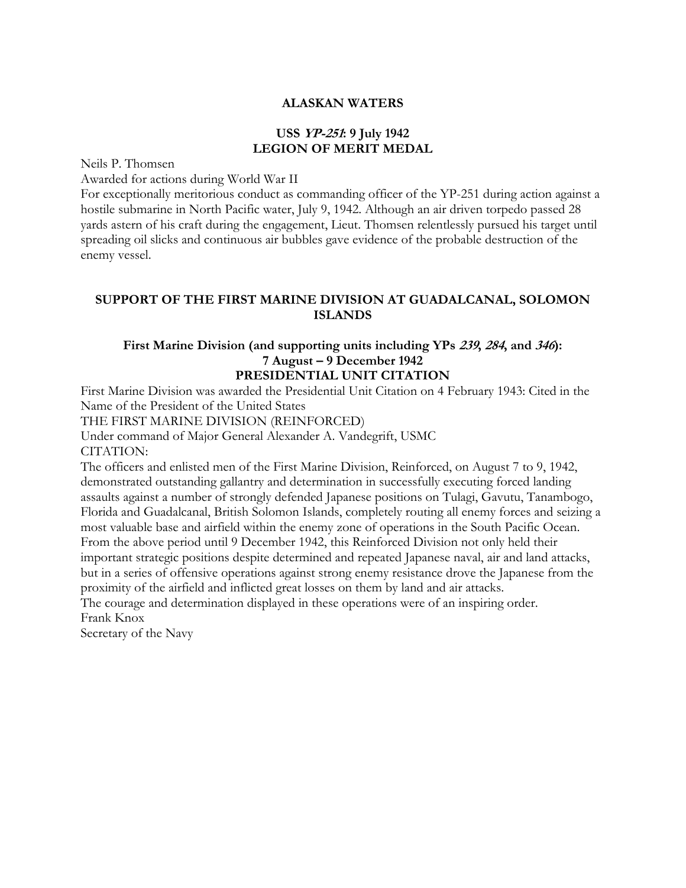# **ALASKAN WATERS**

# **USS YP-251: 9 July 1942 LEGION OF MERIT MEDAL**

Neils P. Thomsen

Awarded for actions during World War II

For exceptionally meritorious conduct as commanding officer of the YP-251 during action against a hostile submarine in North Pacific water, July 9, 1942. Although an air driven torpedo passed 28 yards astern of his craft during the engagement, Lieut. Thomsen relentlessly pursued his target until spreading oil slicks and continuous air bubbles gave evidence of the probable destruction of the enemy vessel.

# **SUPPORT OF THE FIRST MARINE DIVISION AT GUADALCANAL, SOLOMON ISLANDS**

# **First Marine Division (and supporting units including YPs 239, 284, and 346): 7 August – 9 December 1942 PRESIDENTIAL UNIT CITATION**

First Marine Division was awarded the Presidential Unit Citation on 4 February 1943: Cited in the Name of the President of the United States

THE FIRST MARINE DIVISION (REINFORCED)

Under command of Major General Alexander A. Vandegrift, USMC CITATION:

The officers and enlisted men of the First Marine Division, Reinforced, on August 7 to 9, 1942, demonstrated outstanding gallantry and determination in successfully executing forced landing assaults against a number of strongly defended Japanese positions on Tulagi, Gavutu, Tanambogo, Florida and Guadalcanal, British Solomon Islands, completely routing all enemy forces and seizing a most valuable base and airfield within the enemy zone of operations in the South Pacific Ocean. From the above period until 9 December 1942, this Reinforced Division not only held their important strategic positions despite determined and repeated Japanese naval, air and land attacks, but in a series of offensive operations against strong enemy resistance drove the Japanese from the proximity of the airfield and inflicted great losses on them by land and air attacks.

The courage and determination displayed in these operations were of an inspiring order. Frank Knox

Secretary of the Navy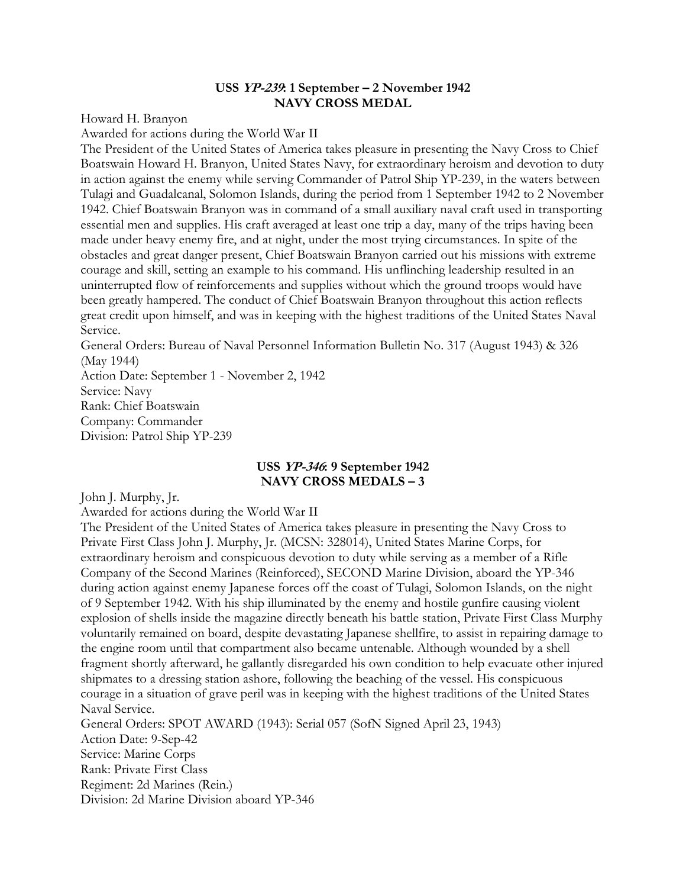### **USS YP-239: 1 September – 2 November 1942 NAVY CROSS MEDAL**

Howard H. Branyon

Awarded for actions during the World War II

The President of the United States of America takes pleasure in presenting the Navy Cross to Chief Boatswain Howard H. Branyon, United States Navy, for extraordinary heroism and devotion to duty in action against the enemy while serving Commander of Patrol Ship YP-239, in the waters between Tulagi and Guadalcanal, Solomon Islands, during the period from 1 September 1942 to 2 November 1942. Chief Boatswain Branyon was in command of a small auxiliary naval craft used in transporting essential men and supplies. His craft averaged at least one trip a day, many of the trips having been made under heavy enemy fire, and at night, under the most trying circumstances. In spite of the obstacles and great danger present, Chief Boatswain Branyon carried out his missions with extreme courage and skill, setting an example to his command. His unflinching leadership resulted in an uninterrupted flow of reinforcements and supplies without which the ground troops would have been greatly hampered. The conduct of Chief Boatswain Branyon throughout this action reflects great credit upon himself, and was in keeping with the highest traditions of the United States Naval Service.

General Orders: Bureau of Naval Personnel Information Bulletin No. 317 (August 1943) & 326 (May 1944)

Action Date: September 1 - November 2, 1942 Service: Navy Rank: Chief Boatswain Company: Commander Division: Patrol Ship YP-239

# **USS YP-346: 9 September 1942 NAVY CROSS MEDALS – 3**

John J. Murphy, Jr.

Awarded for actions during the World War II

The President of the United States of America takes pleasure in presenting the Navy Cross to Private First Class John J. Murphy, Jr. (MCSN: 328014), United States Marine Corps, for extraordinary heroism and conspicuous devotion to duty while serving as a member of a Rifle Company of the Second Marines (Reinforced), SECOND Marine Division, aboard the YP-346 during action against enemy Japanese forces off the coast of Tulagi, Solomon Islands, on the night of 9 September 1942. With his ship illuminated by the enemy and hostile gunfire causing violent explosion of shells inside the magazine directly beneath his battle station, Private First Class Murphy voluntarily remained on board, despite devastating Japanese shellfire, to assist in repairing damage to the engine room until that compartment also became untenable. Although wounded by a shell fragment shortly afterward, he gallantly disregarded his own condition to help evacuate other injured shipmates to a dressing station ashore, following the beaching of the vessel. His conspicuous courage in a situation of grave peril was in keeping with the highest traditions of the United States Naval Service. General Orders: SPOT AWARD (1943): Serial 057 (SofN Signed April 23, 1943)

Action Date: 9-Sep-42 Service: Marine Corps Rank: Private First Class Regiment: 2d Marines (Rein.) Division: 2d Marine Division aboard YP-346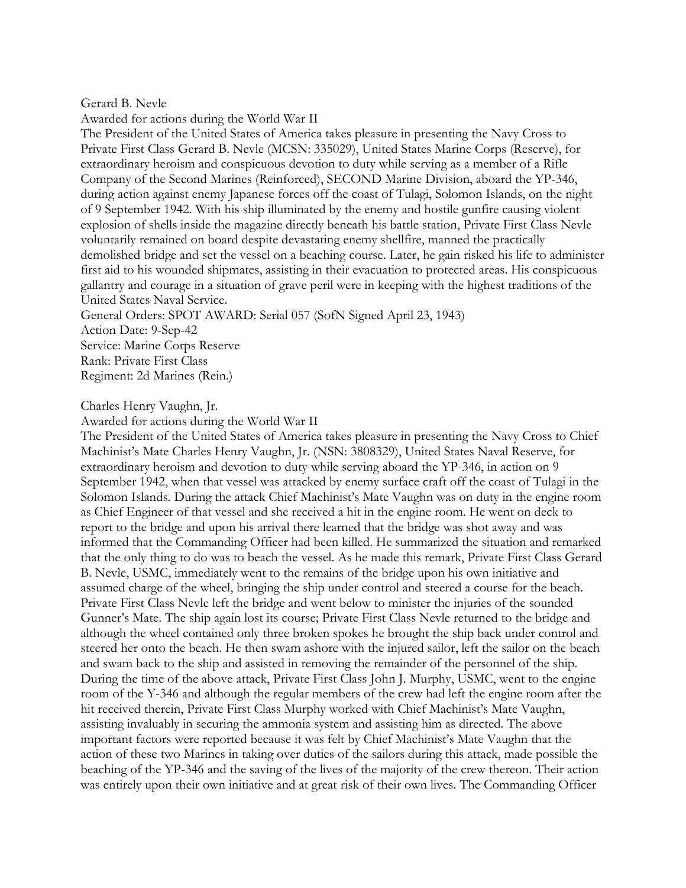Gerard B. Nevle

Awarded for actions during the World War II

The President of the United States of America takes pleasure in presenting the Navy Cross to Private First Class Gerard B. Nevle (MCSN: 335029), United States Marine Corps (Reserve), for extraordinary heroism and conspicuous devotion to duty while serving as a member of a Rifle Company of the Second Marines (Reinforced), SECOND Marine Division, aboard the YP-346, during action against enemy Japanese forces off the coast of Tulagi, Solomon Islands, on the night of 9 September 1942. With his ship illuminated by the enemy and hostile gunfire causing violent explosion of shells inside the magazine directly beneath his battle station, Private First Class Nevle voluntarily remained on board despite devastating enemy shellfire, manned the practically demolished bridge and set the vessel on a beaching course. Later, he gain risked his life to administer first aid to his wounded shipmates, assisting in their evacuation to protected areas. His conspicuous gallantry and courage in a situation of grave peril were in keeping with the highest traditions of the United States Naval Service.

General Orders: SPOT AWARD: Serial 057 (SofN Signed April 23, 1943) Action Date: 9-Sep-42 Service: Marine Corps Reserve Rank: Private First Class Regiment: 2d Marines (Rein.)

Charles Henry Vaughn, Jr.

Awarded for actions during the World War II

The President of the United States of America takes pleasure in presenting the Navy Cross to Chief Machinist's Mate Charles Henry Vaughn, Jr. (NSN: 3808329), United States Naval Reserve, for extraordinary heroism and devotion to duty while serving aboard the YP-346, in action on 9 September 1942, when that vessel was attacked by enemy surface craft off the coast of Tulagi in the Solomon Islands. During the attack Chief Machinist's Mate Vaughn was on duty in the engine room as Chief Engineer of that vessel and she received a hit in the engine room. He went on deck to report to the bridge and upon his arrival there learned that the bridge was shot away and was informed that the Commanding Officer had been killed. He summarized the situation and remarked that the only thing to do was to beach the vessel. As he made this remark, Private First Class Gerard B. Nevle, USMC, immediately went to the remains of the bridge upon his own initiative and assumed charge of the wheel, bringing the ship under control and steered a course for the beach. Private First Class Nevle left the bridge and went below to minister the injuries of the sounded Gunner's Mate. The ship again lost its course; Private First Class Nevle returned to the bridge and although the wheel contained only three broken spokes he brought the ship back under control and steered her onto the beach. He then swam ashore with the injured sailor, left the sailor on the beach and swam back to the ship and assisted in removing the remainder of the personnel of the ship. During the time of the above attack, Private First Class John J. Murphy, USMC, went to the engine room of the Y-346 and although the regular members of the crew had left the engine room after the hit received therein, Private First Class Murphy worked with Chief Machinist's Mate Vaughn, assisting invaluably in securing the ammonia system and assisting him as directed. The above important factors were reported because it was felt by Chief Machinist's Mate Vaughn that the action of these two Marines in taking over duties of the sailors during this attack, made possible the beaching of the YP-346 and the saving of the lives of the majority of the crew thereon. Their action was entirely upon their own initiative and at great risk of their own lives. The Commanding Officer